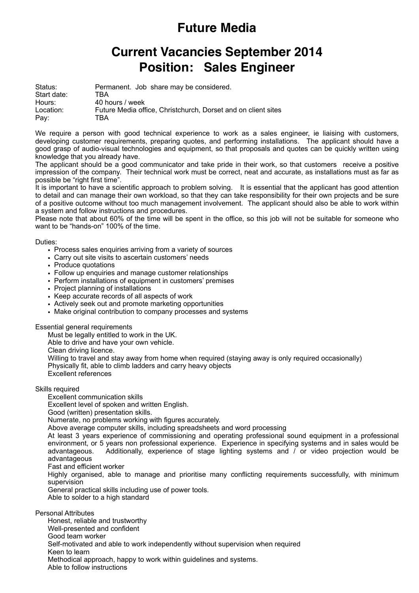## **Future Media**

## **Position: Sales Engineer Current Vacancies September 2014**

| Status:               | Permanent. Job share may be considered.                       |
|-----------------------|---------------------------------------------------------------|
| Start date:<br>Hours: | TBA.<br>40 hours / week                                       |
| Location:             | Future Media office. Christchurch. Dorset and on client sites |
| Pay:                  | TBA                                                           |

We require a person with good technical experience to work as a sales engineer, ie liaising with customers, developing customer requirements, preparing quotes, and performing installations. The applicant should have a good grasp of audio-visual technologies and equipment, so that proposals and quotes can be quickly written using knowledge that you already have.

The applicant should be a good communicator and take pride in their work, so that customers receive a positive impression of the company. Their technical work must be correct, neat and accurate, as installations must as far as possible be "right first time".

It is important to have a scientific approach to problem solving. It is essential that the applicant has good attention to detail and can manage their own workload, so that they can take responsibility for their own projects and be sure of a positive outcome without too much management involvement. The applicant should also be able to work within a system and follow instructions and procedures.

Please note that about 60% of the time will be spent in the office, so this job will not be suitable for someone who want to be "hands-on" 100% of the time.

Duties:

- Process sales enquiries arriving from a variety of sources
- Carry out site visits to ascertain customers' needs
- Produce quotations
- Follow up enquiries and manage customer relationships
- Perform installations of equipment in customers' premises
- Project planning of installations
- Keep accurate records of all aspects of work
- Actively seek out and promote marketing opportunities
- Make original contribution to company processes and systems

Essential general requirements

Must be legally entitled to work in the UK.

Able to drive and have your own vehicle.

Clean driving licence.

Willing to travel and stay away from home when required (staying away is only required occasionally) Physically fit, able to climb ladders and carry heavy objects

Excellent references

Skills required

Excellent communication skills

Excellent level of spoken and written English.

Good (written) presentation skills.

Numerate, no problems working with figures accurately.

Above average computer skills, including spreadsheets and word processing

At least 3 years experience of commissioning and operating professional sound equipment in a professional environment, or 5 years non professional experience. Experience in specifying systems and in sales would be advantageous. Additionally, experience of stage lighting systems and / or video projection would be advantageous

Fast and efficient worker

Highly organised, able to manage and prioritise many conflicting requirements successfully, with minimum supervision

General practical skills including use of power tools.

Able to solder to a high standard

Personal Attributes

Honest, reliable and trustworthy Well-presented and confident Good team worker Self-motivated and able to work independently without supervision when required Keen to learn Methodical approach, happy to work within guidelines and systems. Able to follow instructions